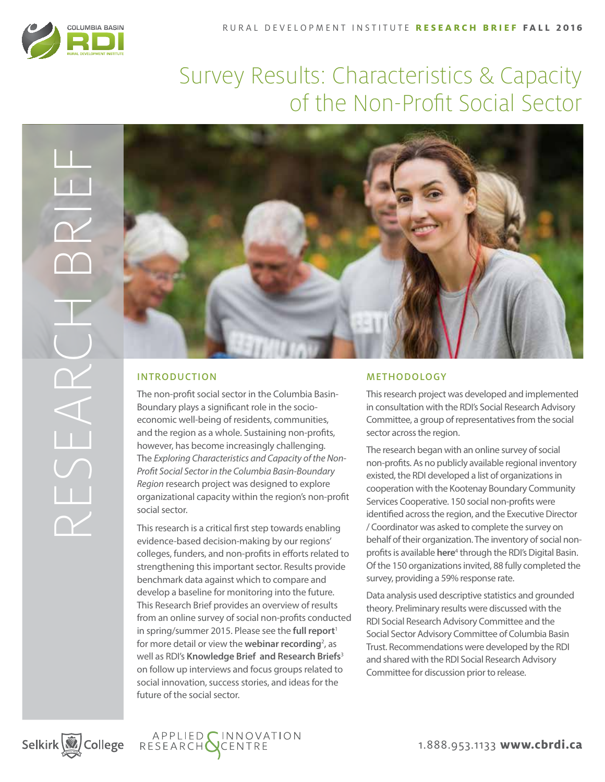

# Survey Results: Characteristics & Capacity of the Non-Profit Social Sector



The non-profit social sector in the Columbia Basin-Boundary plays a significant role in the socioeconomic well-being of residents, communities, and the region as a whole. Sustaining non-profits, however, has become increasingly challenging. The *Exploring Characteristics and Capacity of the Non-Profit Social Sector in the Columbia Basin-Boundary Region* research project was designed to explore organizational capacity within the region's non-profit social sector.

This research is a critical first step towards enabling evidence-based decision-making by our regions' colleges, funders, and non-profits in efforts related to strengthening this important sector. Results provide benchmark data against which to compare and develop a baseline for monitoring into the future. This Research Brief provides an overview of results from an online survey of social non-profits conducted in spring/summer 2015. Please see the **[full report](http://www.cbrdi.ca/wp-content/uploads/Exploring-Characteristics-and-Capacity-of-the-Social-Non-Profit-Sector-RDI-Report-on-Survey-Results-Winter-2016.pdf)**<sup>1</sup> for more detail or view the **[webinar recording](http://www.cbrdi.ca/webinars_and_speaker_series/)**<sup>2</sup>, as well as RDI's **[Knowledge Brief and Research Briefs](http://www.cbrdi.ca/research-areas/applied-research/non-profit-social-sector/)**<sup>3</sup> on follow up interviews and focus groups related to social innovation, success stories, and ideas for the future of the social sector.

#### **METHODOLOGY**

This research project was developed and implemented in consultation with the RDI's Social Research Advisory Committee, a group of representatives from the social sector across the region.

The research began with an online survey of social non-profits. As no publicly available regional inventory existed, the RDI developed a list of organizations in cooperation with the Kootenay Boundary Community Services Cooperative. 150 social non-profits were identified across the region, and the Executive Director / Coordinator was asked to complete the survey on behalf of their organization. The inventory of social nonprofits is available **[here](http://www.cbrdi.ca/digitalbasin/wpPrtDriver.php?Community=Select%2520a%2520Community&Theme=Wellness&Pillar=Social&Category=Social%20Svc%20Organizations&AdjustExtent=1)**<sup>4</sup> through the RDI's Digital Basin. Of the 150 organizations invited, 88 fully completed the survey, providing a 59% response rate.

Data analysis used descriptive statistics and grounded theory. Preliminary results were discussed with the RDI Social Research Advisory Committee and the Social Sector Advisory Committee of Columbia Basin Trust. Recommendations were developed by the RDI and shared with the RDI Social Research Advisory Committee for discussion prior to release.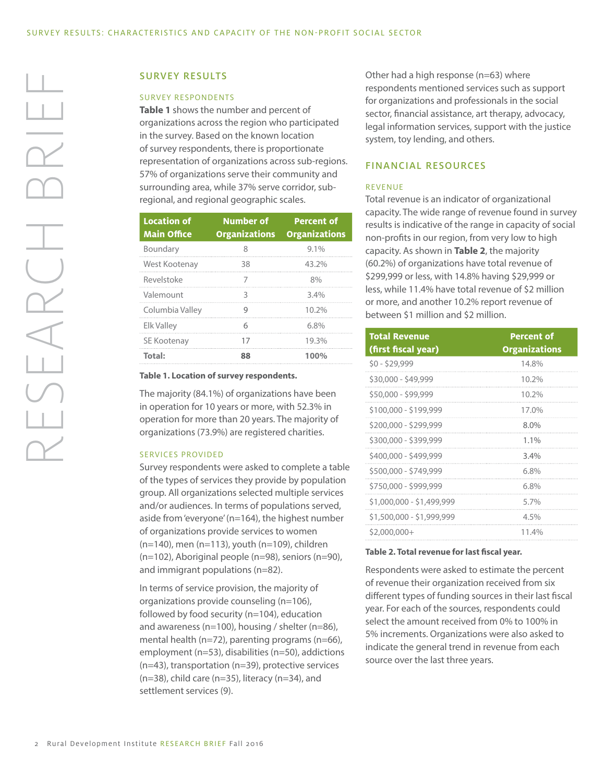#### SURVEY RESULTS

#### SURVEY RESPONDENTS

**Table 1** shows the number and percent of organizations across the region who participated in the survey. Based on the known location of survey respondents, there is proportionate representation of organizations across sub-regions. 57% of organizations serve their community and surrounding area, while 37% serve corridor, subregional, and regional geographic scales.

| <b>Location of</b><br><b>Main Office</b> | <b>Number of</b><br><b>Organizations</b> | <b>Percent of</b><br><b>Organizations</b> |
|------------------------------------------|------------------------------------------|-------------------------------------------|
| Boundary                                 | 8                                        | $9.1\%$                                   |
| West Kootenay                            | 38                                       | 43.2%                                     |
| Revelstoke                               |                                          | 8%                                        |
| Valemount                                |                                          | 3.4%                                      |
| Columbia Valley                          |                                          | 10.2%                                     |
| <b>Elk Valley</b>                        |                                          | 6.8%                                      |
| SE Kootenay                              | 17                                       | 19.3%                                     |
| Total:                                   | 88                                       | 100%                                      |

**Table 1. Location of survey respondents.**

The majority (84.1%) of organizations have been in operation for 10 years or more, with 52.3% in operation for more than 20 years. The majority of organizations (73.9%) are registered charities.

#### SERVICES PROVIDED

Survey respondents were asked to complete a table of the types of services they provide by population group. All organizations selected multiple services and/or audiences. In terms of populations served, aside from 'everyone' (n=164), the highest number of organizations provide services to women (n=140), men (n=113), youth (n=109), children (n=102), Aboriginal people (n=98), seniors (n=90), and immigrant populations (n=82).

In terms of service provision, the majority of organizations provide counseling (n=106), followed by food security (n=104), education and awareness (n=100), housing / shelter (n=86), mental health (n=72), parenting programs (n=66), employment (n=53), disabilities (n=50), addictions (n=43), transportation (n=39), protective services (n=38), child care (n=35), literacy (n=34), and settlement services (9).

Other had a high response (n=63) where respondents mentioned services such as support for organizations and professionals in the social sector, financial assistance, art therapy, advocacy, legal information services, support with the justice system, toy lending, and others.

#### FINANCIAL RESOURCES

#### REVENUE

Total revenue is an indicator of organizational capacity. The wide range of revenue found in survey results is indicative of the range in capacity of social non-profits in our region, from very low to high capacity. As shown in **Table 2**, the majority (60.2%) of organizations have total revenue of \$299,999 or less, with 14.8% having \$29,999 or less, while 11.4% have total revenue of \$2 million or more, and another 10.2% report revenue of between \$1 million and \$2 million.

| <b>Total Revenue</b><br>(first fiscal year) | <b>Percent of</b><br><b>Organizations</b> |
|---------------------------------------------|-------------------------------------------|
| \$0 - \$29,999                              | 14.8%                                     |
| \$30,000 - \$49,999                         | 10.2%                                     |
| \$50,000 - \$99,999                         | 10.2%                                     |
| \$100,000 - \$199,999                       | 17.0%                                     |
| \$200,000 - \$299,999                       | 8.0%                                      |
| \$300,000 - \$399,999                       | $1.1\%$                                   |
| \$400,000 - \$499,999                       | 3.4%                                      |
| \$500,000 - \$749,999                       | 6.8%                                      |
| \$750,000 - \$999,999                       | 6.8%                                      |
| \$1,000,000 - \$1,499,999                   | 5.7%                                      |
| \$1,500,000 - \$1,999,999                   | 4.5%                                      |
| $$2,000,000+$                               | 11.4%                                     |

#### **Table 2. Total revenue for last fiscal year.**

Respondents were asked to estimate the percent of revenue their organization received from six different types of funding sources in their last fiscal year. For each of the sources, respondents could select the amount received from 0% to 100% in 5% increments. Organizations were also asked to indicate the general trend in revenue from each source over the last three years.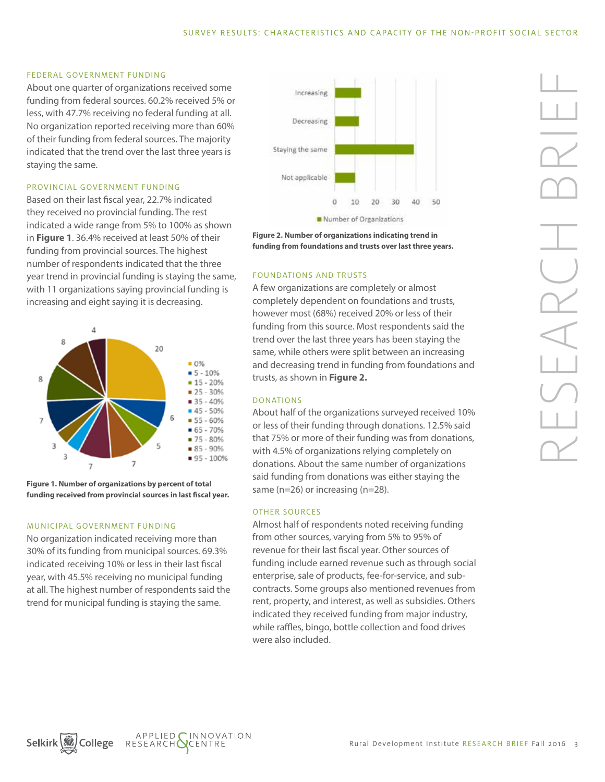#### FEDERAL GOVERNMENT FUNDING

About one quarter of organizations received some funding from federal sources. 60.2% received 5% or less, with 47.7% receiving no federal funding at all. No organization reported receiving more than 60% of their funding from federal sources. The majority indicated that the trend over the last three years is staying the same.

#### PROVINCIAL GOVERNMENT FUNDING

Based on their last fiscal year, 22.7% indicated they received no provincial funding. The rest indicated a wide range from 5% to 100% as shown in **Figure 1**. 36.4% received at least 50% of their funding from provincial sources. The highest number of respondents indicated that the three year trend in provincial funding is staying the same, with 11 organizations saying provincial funding is increasing and eight saying it is decreasing.



**Figure 1. Number of organizations by percent of total funding received from provincial sources in last fiscal year.**

#### MUNICIPAL GOVERNMENT FUNDING

No organization indicated receiving more than 30% of its funding from municipal sources. 69.3% indicated receiving 10% or less in their last fiscal year, with 45.5% receiving no municipal funding at all. The highest number of respondents said the trend for municipal funding is staying the same.



**Figure 2. Number of organizations indicating trend in funding from foundations and trusts over last three years.**

#### FOUNDATIONS AND TRUSTS

A few organizations are completely or almost completely dependent on foundations and trusts, however most (68%) received 20% or less of their funding from this source. Most respondents said the trend over the last three years has been staying the same, while others were split between an increasing and decreasing trend in funding from foundations and trusts, as shown in **Figure 2.**

#### DONATIONS

About half of the organizations surveyed received 10% or less of their funding through donations. 12.5% said that 75% or more of their funding was from donations, with 4.5% of organizations relying completely on donations. About the same number of organizations said funding from donations was either staying the same (n=26) or increasing (n=28).

#### OTHER SOURCES

Almost half of respondents noted receiving funding from other sources, varying from 5% to 95% of revenue for their last fiscal year. Other sources of funding include earned revenue such as through social enterprise, sale of products, fee-for-service, and subcontracts. Some groups also mentioned revenues from rent, property, and interest, as well as subsidies. Others indicated they received funding from major industry, while raffles, bingo, bottle collection and food drives were also included.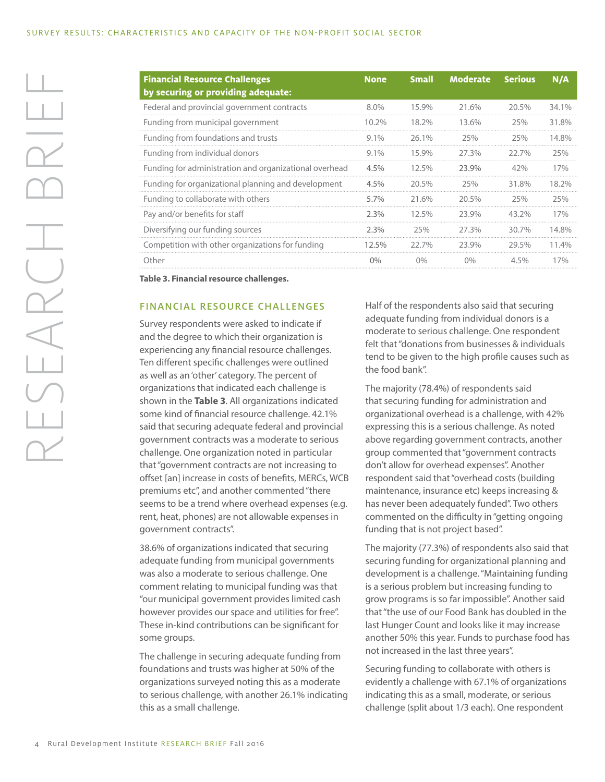| <b>Financial Resource Challenges</b><br>by securing or providing adequate: | <b>None</b> | <b>Small</b> | <b>Moderate</b> | <b>Serious</b> | N/A   |
|----------------------------------------------------------------------------|-------------|--------------|-----------------|----------------|-------|
| Federal and provincial government contracts                                | $8.0\%$     | 15.9%        | 21.6%           | 20.5%          | 34.1% |
| Funding from municipal government                                          | 10.2%       | 18.2%        | 13.6%           | 25%            | 31.8% |
| Funding from foundations and trusts                                        | $9.1\%$     | $26.1\%$     | 25%             | 25%            | 14.8% |
| Funding from individual donors                                             | $9.1\%$     | 15.9%        | 27.3%           | 22.7%          | 25%   |
| Funding for administration and organizational overhead                     | $4.5\%$     | 12.5%        | 23.9%           | 42%            | 17%   |
| Funding for organizational planning and development                        | 4.5%        | 20.5%        | 25%             | 31.8%          | 18.2% |
| Funding to collaborate with others                                         | 5.7%        | 21.6%        | 20.5%           | 25%            | 25%   |
| Pay and/or benefits for staff                                              | 2.3%        | 12.5%        | 23.9%           | 43.2%          | 17%   |
| Diversifying our funding sources                                           | 2.3%        | 25%          | 27.3%           | 30.7%          | 14.8% |
| Competition with other organizations for funding                           | 12.5%       | 22.7%        | 23.9%           | 29.5%          | 11.4% |
| Other                                                                      | $0\%$       | $0\%$        | $0\%$           | $4.5\%$        | 17%   |

**Table 3. Financial resource challenges.**

#### FINANCIAL RESOURCE CHALLENGES

Survey respondents were asked to indicate if and the degree to which their organization is experiencing any financial resource challenges. Ten different specific challenges were outlined as well as an 'other' category. The percent of organizations that indicated each challenge is shown in the **Table 3**. All organizations indicated some kind of financial resource challenge. 42.1% said that securing adequate federal and provincial government contracts was a moderate to serious challenge. One organization noted in particular that "government contracts are not increasing to offset [an] increase in costs of benefits, MERCs, WCB premiums etc", and another commented "there seems to be a trend where overhead expenses (e.g. rent, heat, phones) are not allowable expenses in government contracts".

38.6% of organizations indicated that securing adequate funding from municipal governments was also a moderate to serious challenge. One comment relating to municipal funding was that "our municipal government provides limited cash however provides our space and utilities for free". These in-kind contributions can be significant for some groups.

The challenge in securing adequate funding from foundations and trusts was higher at 50% of the organizations surveyed noting this as a moderate to serious challenge, with another 26.1% indicating this as a small challenge.

Half of the respondents also said that securing adequate funding from individual donors is a moderate to serious challenge. One respondent felt that "donations from businesses & individuals tend to be given to the high profile causes such as the food bank".

The majority (78.4%) of respondents said that securing funding for administration and organizational overhead is a challenge, with 42% expressing this is a serious challenge. As noted above regarding government contracts, another group commented that "government contracts don't allow for overhead expenses". Another respondent said that "overhead costs (building maintenance, insurance etc) keeps increasing & has never been adequately funded". Two others commented on the difficulty in "getting ongoing funding that is not project based".

The majority (77.3%) of respondents also said that securing funding for organizational planning and development is a challenge. "Maintaining funding is a serious problem but increasing funding to grow programs is so far impossible". Another said that "the use of our Food Bank has doubled in the last Hunger Count and looks like it may increase another 50% this year. Funds to purchase food has not increased in the last three years".

Securing funding to collaborate with others is evidently a challenge with 67.1% of organizations indicating this as a small, moderate, or serious challenge (split about 1/3 each). One respondent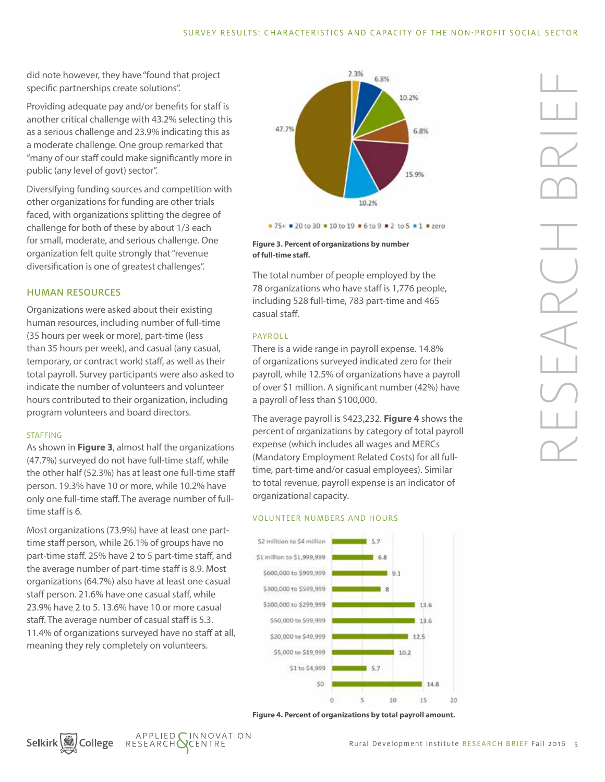did note however, they have "found that project specific partnerships create solutions".

Providing adequate pay and/or benefits for staff is another critical challenge with 43.2% selecting this as a serious challenge and 23.9% indicating this as a moderate challenge. One group remarked that "many of our staff could make significantly more in public (any level of govt) sector".

Diversifying funding sources and competition with other organizations for funding are other trials faced, with organizations splitting the degree of challenge for both of these by about 1/3 each for small, moderate, and serious challenge. One organization felt quite strongly that "revenue diversification is one of greatest challenges".

#### HUMAN RESOURCES

Organizations were asked about their existing human resources, including number of full-time (35 hours per week or more), part-time (less than 35 hours per week), and casual (any casual, temporary, or contract work) staff, as well as their total payroll. Survey participants were also asked to indicate the number of volunteers and volunteer hours contributed to their organization, including program volunteers and board directors.

#### **STAFFING**

As shown in **Figure 3**, almost half the organizations (47.7%) surveyed do not have full-time staff, while the other half (52.3%) has at least one full-time staff person. 19.3% have 10 or more, while 10.2% have only one full-time staff. The average number of fulltime staff is 6.

Most organizations (73.9%) have at least one parttime staff person, while 26.1% of groups have no part-time staff. 25% have 2 to 5 part-time staff, and the average number of part-time staff is 8.9. Most organizations (64.7%) also have at least one casual staff person. 21.6% have one casual staff, while 23.9% have 2 to 5. 13.6% have 10 or more casual staff. The average number of casual staff is 5.3. 11.4% of organizations surveyed have no staff at all, meaning they rely completely on volunteers.



**Figure 3. Percent of organizations by number of full-time staff.**

The total number of people employed by the 78 organizations who have staff is 1,776 people, including 528 full-time, 783 part-time and 465 casual staff.

#### PAYROLL

There is a wide range in payroll expense. 14.8% of organizations surveyed indicated zero for their payroll, while 12.5% of organizations have a payroll of over \$1 million. A significant number (42%) have a payroll of less than \$100,000.

The average payroll is \$423,232. **Figure 4** shows the percent of organizations by category of total payroll expense (which includes all wages and MERCs (Mandatory Employment Related Costs) for all fulltime, part-time and/or casual employees). Similar to total revenue, payroll expense is an indicator of organizational capacity.

#### VOLUNTEER NUMBERS AND HOURS







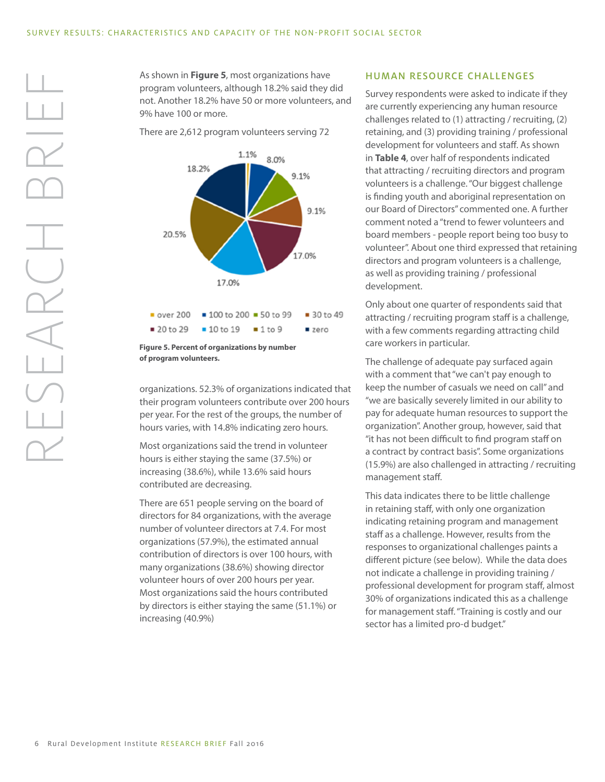As shown in **Figure 5**, most organizations have program volunteers, although 18.2% said they did not. Another 18.2% have 50 or more volunteers, and 9% have 100 or more.

There are 2,612 program volunteers serving 72



**Figure 5. Percent of organizations by number of program volunteers.**

organizations. 52.3% of organizations indicated that their program volunteers contribute over 200 hours per year. For the rest of the groups, the number of hours varies, with 14.8% indicating zero hours.

Most organizations said the trend in volunteer hours is either staying the same (37.5%) or increasing (38.6%), while 13.6% said hours contributed are decreasing.

There are 651 people serving on the board of directors for 84 organizations, with the average number of volunteer directors at 7.4. For most organizations (57.9%), the estimated annual contribution of directors is over 100 hours, with many organizations (38.6%) showing director volunteer hours of over 200 hours per year. Most organizations said the hours contributed by directors is either staying the same (51.1%) or increasing (40.9%)

#### HUMAN RESOURCE CHALLENGES

Survey respondents were asked to indicate if they are currently experiencing any human resource challenges related to (1) attracting / recruiting, (2) retaining, and (3) providing training / professional development for volunteers and staff. As shown in **Table 4**, over half of respondents indicated that attracting / recruiting directors and program volunteers is a challenge. "Our biggest challenge is finding youth and aboriginal representation on our Board of Directors" commented one. A further comment noted a "trend to fewer volunteers and board members - people report being too busy to volunteer". About one third expressed that retaining directors and program volunteers is a challenge, as well as providing training / professional development.

Only about one quarter of respondents said that attracting / recruiting program staff is a challenge, with a few comments regarding attracting child care workers in particular.

The challenge of adequate pay surfaced again with a comment that "we can't pay enough to keep the number of casuals we need on call" and "we are basically severely limited in our ability to pay for adequate human resources to support the organization". Another group, however, said that "it has not been difficult to find program staff on a contract by contract basis". Some organizations (15.9%) are also challenged in attracting / recruiting management staff.

This data indicates there to be little challenge in retaining staff, with only one organization indicating retaining program and management staff as a challenge. However, results from the responses to organizational challenges paints a different picture (see below). While the data does not indicate a challenge in providing training / professional development for program staff, almost 30% of organizations indicated this as a challenge for management staff. "Training is costly and our sector has a limited pro-d budget."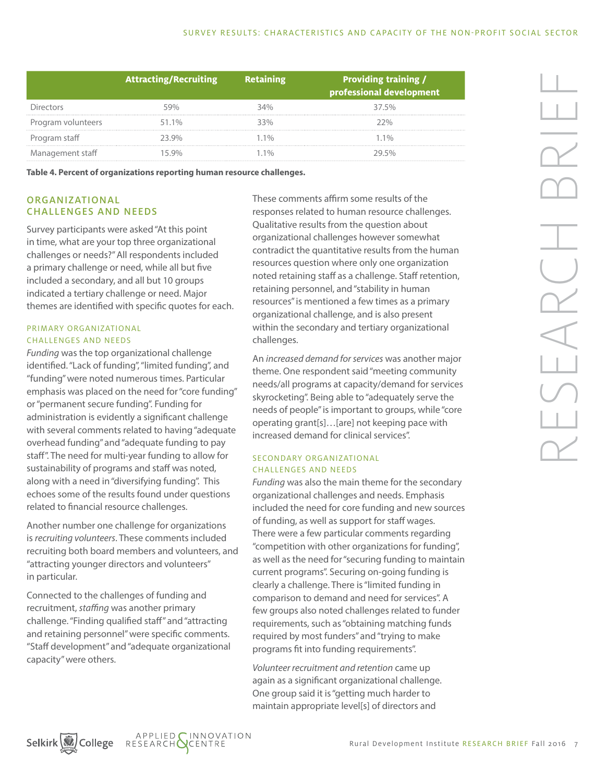|                    | <b>Attracting/Recruiting</b> | <b>Retaining</b> | <b>Providing training /</b><br>professional development |
|--------------------|------------------------------|------------------|---------------------------------------------------------|
| Directors          |                              |                  | 37.5%                                                   |
| Program volunteers | 51.1%                        | 3.30/            | つつ%                                                     |
| Program staff      | 23 QOY                       | 10 <sub>0</sub>  | 10 <sub>0</sub>                                         |
| Management staff   |                              |                  | ንዐ 50⁄^                                                 |

**Table 4. Percent of organizations reporting human resource challenges.**

#### ORGANIZATIONAL CHALLENGES AND NEEDS

Survey participants were asked "At this point in time, what are your top three organizational challenges or needs?" All respondents included a primary challenge or need, while all but five included a secondary, and all but 10 groups indicated a tertiary challenge or need. Major themes are identified with specific quotes for each.

#### PRIMARY ORGANIZATIONAL CHALLENGES AND NEEDS

*Funding* was the top organizational challenge identified. "Lack of funding", "limited funding", and "funding" were noted numerous times. Particular emphasis was placed on the need for "core funding" or "permanent secure funding". Funding for administration is evidently a significant challenge with several comments related to having "adequate overhead funding" and "adequate funding to pay staff". The need for multi-year funding to allow for sustainability of programs and staff was noted, along with a need in "diversifying funding". This echoes some of the results found under questions related to financial resource challenges.

Another number one challenge for organizations is *recruiting volunteers*. These comments included recruiting both board members and volunteers, and "attracting younger directors and volunteers" in particular.

Connected to the challenges of funding and recruitment, *staffing* was another primary challenge. "Finding qualified staff" and "attracting and retaining personnel" were specific comments. "Staff development" and "adequate organizational capacity" were others.

These comments affirm some results of the responses related to human resource challenges. Qualitative results from the question about organizational challenges however somewhat contradict the quantitative results from the human resources question where only one organization noted retaining staff as a challenge. Staff retention, retaining personnel, and "stability in human resources" is mentioned a few times as a primary organizational challenge, and is also present within the secondary and tertiary organizational challenges.

An *increased demand for services* was another major theme. One respondent said "meeting community needs/all programs at capacity/demand for services skyrocketing". Being able to "adequately serve the needs of people" is important to groups, while "core operating grant[s]…[are] not keeping pace with increased demand for clinical services".

#### SECONDARY ORGANIZATIONAL CHALLENGES AND NEEDS

*Funding* was also the main theme for the secondary organizational challenges and needs. Emphasis included the need for core funding and new sources of funding, as well as support for staff wages. There were a few particular comments regarding "competition with other organizations for funding", as well as the need for "securing funding to maintain current programs". Securing on-going funding is clearly a challenge. There is "limited funding in comparison to demand and need for services". A few groups also noted challenges related to funder requirements, such as "obtaining matching funds required by most funders" and "trying to make programs fit into funding requirements".

*Volunteer recruitment and retention* came up again as a significant organizational challenge. One group said it is "getting much harder to maintain appropriate level[s] of directors and

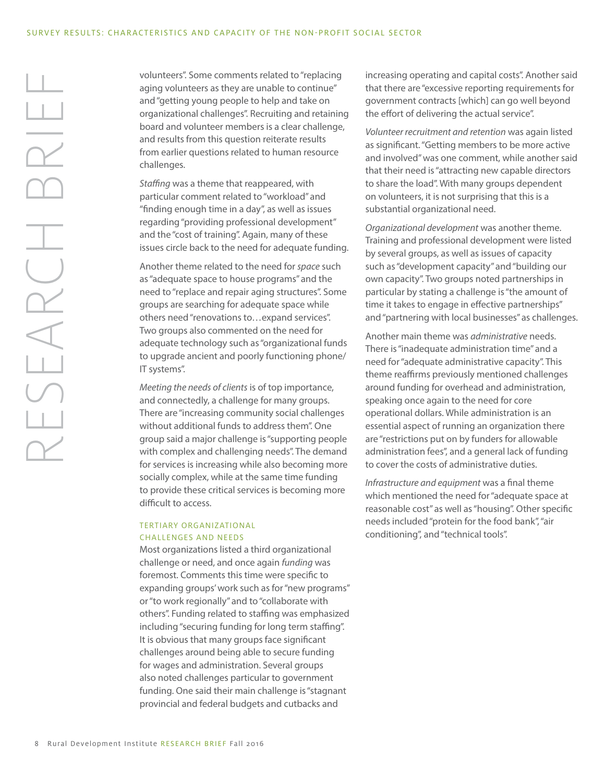volunteers". Some comments related to "replacing aging volunteers as they are unable to continue" and "getting young people to help and take on organizational challenges". Recruiting and retaining board and volunteer members is a clear challenge, and results from this question reiterate results from earlier questions related to human resource challenges.

*Staffing* was a theme that reappeared, with particular comment related to "workload" and "finding enough time in a day", as well as issues regarding "providing professional development" and the "cost of training". Again, many of these issues circle back to the need for adequate funding.

Another theme related to the need for *space* such as "adequate space to house programs" and the need to "replace and repair aging structures". Some groups are searching for adequate space while others need "renovations to…expand services". Two groups also commented on the need for adequate technology such as "organizational funds to upgrade ancient and poorly functioning phone/ IT systems".

*Meeting the needs of clients* is of top importance, and connectedly, a challenge for many groups. There are "increasing community social challenges without additional funds to address them". One group said a major challenge is "supporting people with complex and challenging needs". The demand for services is increasing while also becoming more socially complex, while at the same time funding to provide these critical services is becoming more difficult to access.

#### TERTIARY ORGANIZATIONAL CHALLENGES AND NEEDS

Most organizations listed a third organizational challenge or need, and once again *funding* was foremost. Comments this time were specific to expanding groups' work such as for "new programs" or "to work regionally" and to "collaborate with others". Funding related to staffing was emphasized including "securing funding for long term staffing". It is obvious that many groups face significant challenges around being able to secure funding for wages and administration. Several groups also noted challenges particular to government funding. One said their main challenge is "stagnant provincial and federal budgets and cutbacks and

increasing operating and capital costs". Another said that there are "excessive reporting requirements for government contracts [which] can go well beyond the effort of delivering the actual service".

*Volunteer recruitment and retention* was again listed as significant. "Getting members to be more active and involved" was one comment, while another said that their need is "attracting new capable directors to share the load". With many groups dependent on volunteers, it is not surprising that this is a substantial organizational need.

*Organizational development* was another theme. Training and professional development were listed by several groups, as well as issues of capacity such as "development capacity" and "building our own capacity". Two groups noted partnerships in particular by stating a challenge is "the amount of time it takes to engage in effective partnerships" and "partnering with local businesses" as challenges.

Another main theme was *administrative* needs. There is "inadequate administration time" and a need for "adequate administrative capacity". This theme reaffirms previously mentioned challenges around funding for overhead and administration, speaking once again to the need for core operational dollars. While administration is an essential aspect of running an organization there are "restrictions put on by funders for allowable administration fees", and a general lack of funding to cover the costs of administrative duties.

*Infrastructure and equipment* was a final theme which mentioned the need for "adequate space at reasonable cost" as well as "housing". Other specific needs included "protein for the food bank", "air conditioning", and "technical tools".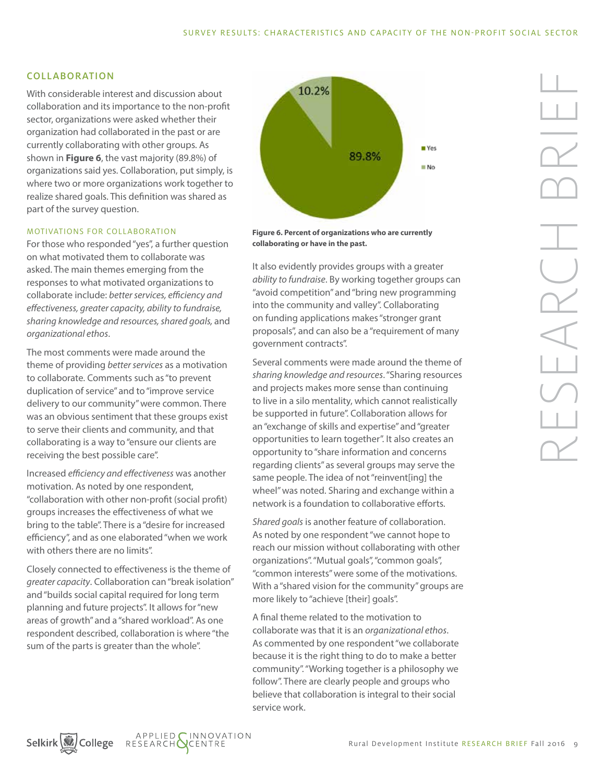#### COLLABORATION

With considerable interest and discussion about collaboration and its importance to the non-profit sector, organizations were asked whether their organization had collaborated in the past or are currently collaborating with other groups. As shown in **Figure 6**, the vast majority (89.8%) of organizations said yes. Collaboration, put simply, is where two or more organizations work together to realize shared goals. This definition was shared as part of the survey question.

#### MOTIVATIONS FOR COLLABORATION

For those who responded "yes", a further question on what motivated them to collaborate was asked. The main themes emerging from the responses to what motivated organizations to collaborate include: *better services, efficiency and effectiveness, greater capacity, ability to fundraise, sharing knowledge and resources, shared goals,* and *organizational ethos*.

The most comments were made around the theme of providing *better services* as a motivation to collaborate. Comments such as "to prevent duplication of service" and to "improve service delivery to our community" were common. There was an obvious sentiment that these groups exist to serve their clients and community, and that collaborating is a way to "ensure our clients are receiving the best possible care".

Increased *efficiency and effectiveness* was another motivation. As noted by one respondent, "collaboration with other non-profit (social profit) groups increases the effectiveness of what we bring to the table". There is a "desire for increased efficiency", and as one elaborated "when we work with others there are no limits".

Closely connected to effectiveness is the theme of *greater capacity*. Collaboration can "break isolation" and "builds social capital required for long term planning and future projects". It allows for "new areas of growth" and a "shared workload". As one respondent described, collaboration is where "the sum of the parts is greater than the whole".



**Figure 6. Percent of organizations who are currently collaborating or have in the past.**

It also evidently provides groups with a greater *ability to fundraise*. By working together groups can "avoid competition" and "bring new programming into the community and valley". Collaborating on funding applications makes "stronger grant proposals", and can also be a "requirement of many government contracts".

Several comments were made around the theme of *sharing knowledge and resources*. "Sharing resources and projects makes more sense than continuing to live in a silo mentality, which cannot realistically be supported in future". Collaboration allows for an "exchange of skills and expertise" and "greater opportunities to learn together". It also creates an opportunity to "share information and concerns regarding clients" as several groups may serve the same people. The idea of not "reinvent[ing] the wheel" was noted. Sharing and exchange within a network is a foundation to collaborative efforts.

*Shared goals* is another feature of collaboration. As noted by one respondent "we cannot hope to reach our mission without collaborating with other organizations". "Mutual goals", "common goals", "common interests" were some of the motivations. With a "shared vision for the community" groups are more likely to "achieve [their] goals".

A final theme related to the motivation to collaborate was that it is an *organizational ethos*. As commented by one respondent "we collaborate because it is the right thing to do to make a better community". "Working together is a philosophy we follow". There are clearly people and groups who believe that collaboration is integral to their social service work.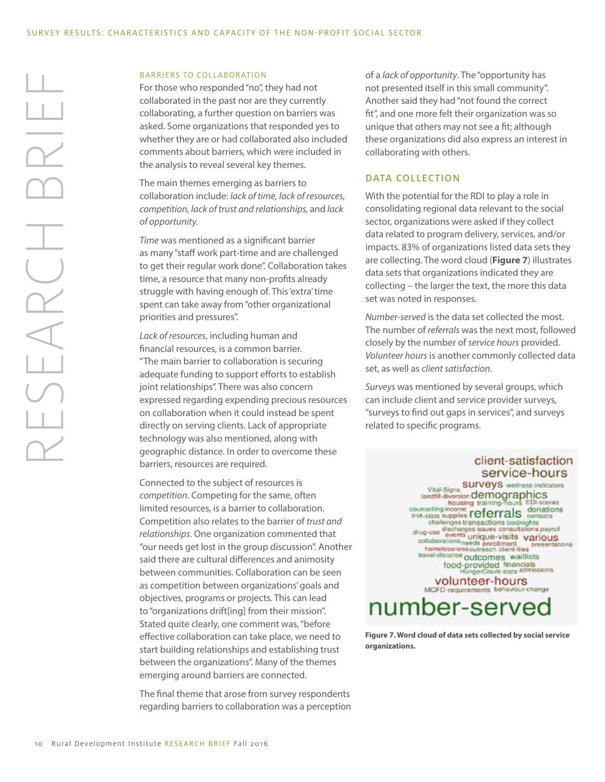#### BARRIERS TO COLLABORATION

For those who responded "no", they had not collaborated in the past nor are they currently collaborating, a further question on barriers was asked. Some organizations that responded yes to whether they are or had collaborated also included comments about barriers, which were included in the analysis to reveal several key themes.

The main themes emerging as barriers to collaboration include: *lack of time, lack of resources, competition, lack of trust and relationships,* and *lack of opportunity.* 

*Time* was mentioned as a significant barrier as many "staff work part-time and are challenged to get their regular work done". Collaboration takes time, a resource that many non-profits already struggle with having enough of. This 'extra' time spent can take away from "other organizational priorities and pressures".

*Lack of resources*, including human and financial resources, is a common barrier. "The main barrier to collaboration is securing adequate funding to support efforts to establish joint relationships". There was also concern expressed regarding expending precious resources on collaboration when it could instead be spent directly on serving clients. Lack of appropriate technology was also mentioned, along with geographic distance. In order to overcome these barriers, resources are required.

Connected to the subject of resources is *competition*. Competing for the same, often limited resources, is a barrier to collaboration. Competition also relates to the barrier of *trust and relationships*. One organization commented that "our needs get lost in the group discussion". Another said there are cultural differences and animosity between communities. Collaboration can be seen as competition between organizations' goals and objectives, programs or projects. This can lead to "organizations drift[ing] from their mission". Stated quite clearly, one comment was, "before effective collaboration can take place, we need to start building relationships and establishing trust between the organizations". Many of the themes emerging around barriers are connected.

The final theme that arose from survey respondents regarding barriers to collaboration was a perception of a *lack of opportunity*. The "opportunity has not presented itself in this small community". Another said they had "not found the correct fit", and one more felt their organization was so unique that others may not see a fit; although these organizations did also express an interest in collaborating with others.

#### DATA COLLECTION

With the potential for the RDI to play a role in consolidating regional data relevant to the social sector, organizations were asked if they collect data related to program delivery, services, and/or impacts. 83% of organizations listed data sets they are collecting. The word cloud (**Figure 7**) illustrates data sets that organizations indicated they are collecting – the larger the text, the more this data set was noted in responses.

*Number-served* is the data set collected the most. The number of *referrals* was the next most, followed closely by the number of *service hours* provided. *Volunteer hours* is another commonly collected data set, as well as *client satisfaction*.

*Surveys* was mentioned by several groups, which can include client and service provider surveys, "surveys to find out gaps in services", and surveys related to specific programs.

### client-satisfaction service-hours

Vital-Signs SUIVeyS wellness-indicators<br>tandfill diversion demographics<br>housing training-nours EDI-scores **Examples of the Counter of Contract of the Scores**<br> **Examples CEPTAIS CONTRAGES** challenges transactions bednights<br>drug-use discharges issues consultations payrol<br>collaborations collaborations arigue-visits variation<br>collaborations autometric press<br>homelossness outcomes waitlists<br>travel distance outcomes waitlists<br>food-provided financials tations food-provided financials<br>HungerCount stats admissions

volunteer-hours MCFD-requirements behaviour-change

## number-served

**Figure 7. Word cloud of data sets collected by social service organizations.**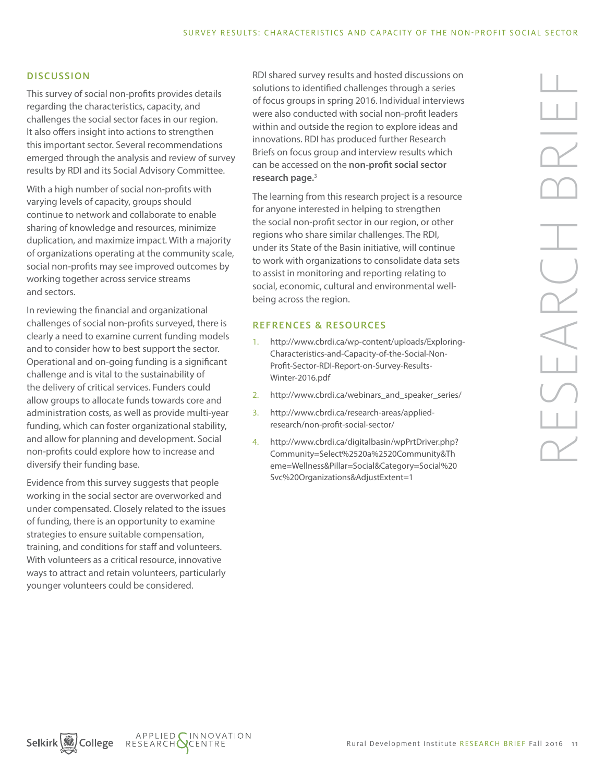#### **DISCUSSION**

This survey of social non-profits provides details regarding the characteristics, capacity, and challenges the social sector faces in our region. It also offers insight into actions to strengthen this important sector. Several recommendations emerged through the analysis and review of survey results by RDI and its Social Advisory Committee.

With a high number of social non-profits with varying levels of capacity, groups should continue to network and collaborate to enable sharing of knowledge and resources, minimize duplication, and maximize impact. With a majority of organizations operating at the community scale, social non-profits may see improved outcomes by working together across service streams and sectors.

In reviewing the financial and organizational challenges of social non-profits surveyed, there is clearly a need to examine current funding models and to consider how to best support the sector. Operational and on-going funding is a significant challenge and is vital to the sustainability of the delivery of critical services. Funders could allow groups to allocate funds towards core and administration costs, as well as provide multi-year funding, which can foster organizational stability, and allow for planning and development. Social non-profits could explore how to increase and diversify their funding base.

Evidence from this survey suggests that people working in the social sector are overworked and under compensated. Closely related to the issues of funding, there is an opportunity to examine strategies to ensure suitable compensation, training, and conditions for staff and volunteers. With volunteers as a critical resource, innovative ways to attract and retain volunteers, particularly younger volunteers could be considered.

RDI shared survey results and hosted discussions on solutions to identified challenges through a series of focus groups in spring 2016. Individual interviews were also conducted with social non-profit leaders within and outside the region to explore ideas and innovations. RDI has produced further Research Briefs on focus group and interview results which can be accessed on the **[non-profit social sector](http://www.cbrdi.ca/research-areas/applied-research/non-profit-social-sector/)  [research page.](http://www.cbrdi.ca/research-areas/applied-research/non-profit-social-sector/)**<sup>3</sup>

The learning from this research project is a resource for anyone interested in helping to strengthen the social non-profit sector in our region, or other regions who share similar challenges. The RDI, under its State of the Basin initiative, will continue to work with organizations to consolidate data sets to assist in monitoring and reporting relating to social, economic, cultural and environmental wellbeing across the region.

#### REFRENCES & RESOURCES

- 1. http://www.cbrdi.ca/wp-content/uploads/Exploring-Characteristics-and-Capacity-of-the-Social-Non-Profit-Sector-RDI-Report-on-Survey-Results-Winter-2016.pdf
- 2. http://www.cbrdi.ca/webinars\_and\_speaker\_series/
- 3. http://www.cbrdi.ca/research-areas/appliedresearch/non-profit-social-sector/
- 4. http://www.cbrdi.ca/digitalbasin/wpPrtDriver.php? Community=Select%2520a%2520Community&Th eme=Wellness&Pillar=Social&Category=Social%20 Svc%20Organizations&AdjustExtent=1